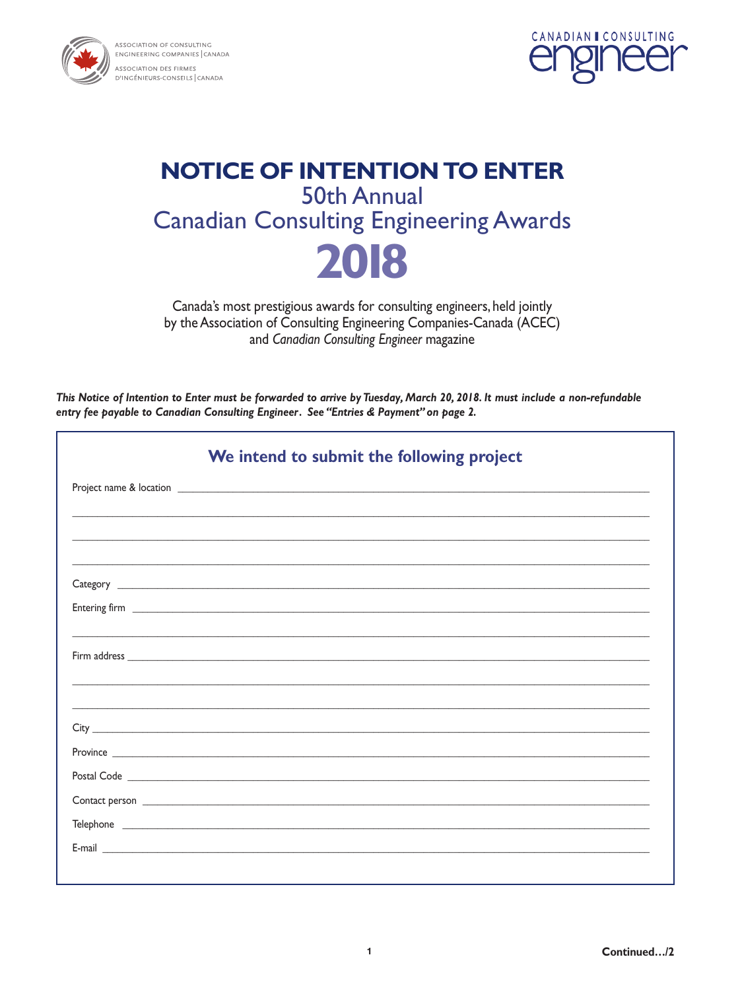



# **NOTICE OF INTENTION TO ENTER 50th Annual Canadian Consulting Engineering Awards** 2018

Canada's most prestigious awards for consulting engineers, held jointly by the Association of Consulting Engineering Companies-Canada (ACEC) and Canadian Consulting Engineer magazine

This Notice of Intention to Enter must be forwarded to arrive by Tuesday, March 20, 2018. It must include a non-refundable entry fee payable to Canadian Consulting Engineer. See "Entries & Payment" on page 2.

| We intend to submit the following project                                                                                                                                                                                            |
|--------------------------------------------------------------------------------------------------------------------------------------------------------------------------------------------------------------------------------------|
|                                                                                                                                                                                                                                      |
|                                                                                                                                                                                                                                      |
|                                                                                                                                                                                                                                      |
|                                                                                                                                                                                                                                      |
|                                                                                                                                                                                                                                      |
|                                                                                                                                                                                                                                      |
|                                                                                                                                                                                                                                      |
|                                                                                                                                                                                                                                      |
|                                                                                                                                                                                                                                      |
|                                                                                                                                                                                                                                      |
| Postal Code <b>contract to the contract of the contract of the contract of the contract of the contract of the contract of the contract of the contract of the contract of the contract of the contract of the contract of the c</b> |
|                                                                                                                                                                                                                                      |
|                                                                                                                                                                                                                                      |
|                                                                                                                                                                                                                                      |
|                                                                                                                                                                                                                                      |